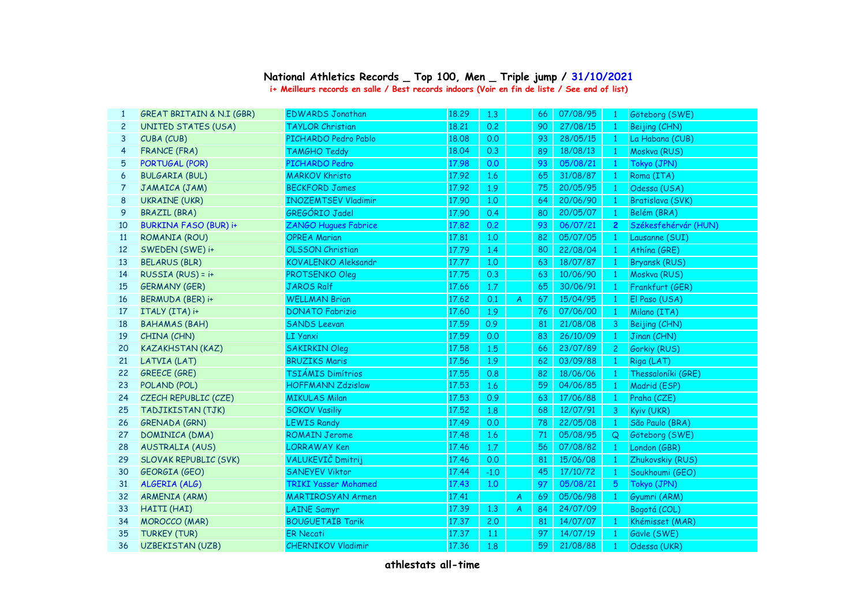| $\mathbf{1}$   | GREAT BRITAIN & N.I (GBR)    | <b>EDWARDS Jonathan</b>     | 18.29 | 1,3    |                | 66 | 07/08/95 | $\overline{1}$ | Göteborg (SWE)       |
|----------------|------------------------------|-----------------------------|-------|--------|----------------|----|----------|----------------|----------------------|
| $\overline{2}$ | <b>UNITED STATES (USA)</b>   | <b>TAYLOR Christian</b>     | 18,21 | 0.2    |                | 90 | 27/08/15 | $\mathbf{1}$   | Beijing (CHN)        |
| 3              | CUBA (CUB)                   | PICHARDO Pedro Pablo        | 18.08 | 0.0    |                | 93 | 28/05/15 | $\mathbf{1}$   | La Habana (CUB)      |
| $\overline{4}$ | <b>FRANCE (FRA)</b>          | <b>TAMGHO Teddy</b>         | 18.04 | 0.3    |                | 89 | 18/08/13 | $\mathbf{1}$   | Moskva (RUS)         |
| 5              | PORTUGAL (POR)               | PICHARDO Pedro              | 17.98 | 0.0    |                | 93 | 05/08/21 | $\mathbf{1}$   | Tokyo (JPN)          |
| 6              | <b>BULGARIA (BUL)</b>        | <b>MARKOV Khristo</b>       | 17.92 | 1.6    |                | 65 | 31/08/87 | $\mathbf{1}$   | Roma (ITA)           |
| 7              | JAMAICA (JAM)                | <b>BECKFORD James</b>       | 17.92 | 1.9    |                | 75 | 20/05/95 | $\mathbf{1}$   | Odessa (USA)         |
| 8              | <b>UKRAINE (UKR)</b>         | <b>INOZEMTSEV Vladimir</b>  | 17.90 | 1,0    |                | 64 | 20/06/90 | $\mathbf{1}$   | Bratislava (SVK)     |
| 9              | <b>BRAZIL (BRA)</b>          | GREGÓRIO Jadel              | 17.90 | 0.4    |                | 80 | 20/05/07 | $\overline{1}$ | Belém (BRA)          |
| 10             | <b>BURKINA FASO (BUR) i+</b> | <b>ZANGO Hugues Fabrice</b> | 17.82 | 0.2    |                | 93 | 06/07/21 | $\overline{2}$ | Székesfehérvár (HUN) |
| 11             | <b>ROMANIA (ROU)</b>         | <b>OPREA Marian</b>         | 17.81 | 1,0    |                | 82 | 05/07/05 | $\mathbf{1}$   | Lausanne (SUI)       |
| 12             | SWEDEN (SWE) i+              | <b>OLSSON Christian</b>     | 17.79 | 1.4    |                | 80 | 22/08/04 | $\mathbf{1}$   | Athína (GRE)         |
| 13             | <b>BELARUS (BLR)</b>         | <b>KOVALENKO Aleksandr</b>  | 17.77 | 1,0    |                | 63 | 18/07/87 | $\mathbf{1}$   | <b>Bryansk (RUS)</b> |
| 14             | RUSSIA (RUS) = i+            | PROTSENKO Oleg              | 17.75 | 0.3    |                | 63 | 10/06/90 | $\mathbf{1}$   | Moskva (RUS)         |
| 15             | <b>GERMANY (GER)</b>         | <b>JAROS Ralf</b>           | 17.66 | 1.7    |                | 65 | 30/06/91 | $\mathbf{1}$   | Frankfurt (GER)      |
| 16             | BERMUDA (BER) i+             | <b>WELLMAN Brian</b>        | 17.62 | 0.1    | A              | 67 | 15/04/95 | $\mathbf{1}$   | El Paso (USA)        |
| 17             | ITALY (ITA) i+               | <b>DONATO Fabrizio</b>      | 17.60 | 1.9    |                | 76 | 07/06/00 | $\mathbf{1}$   | Milano (ITA)         |
| 18             | <b>BAHAMAS (BAH)</b>         | <b>SANDS Leevan</b>         | 17.59 | 0.9    |                | 81 | 21/08/08 | 3              | Beijing (CHN)        |
| 19             | CHINA (CHN)                  | LI Yanxi                    | 17.59 | 0.0    |                | 83 | 26/10/09 | $\mathbf{1}$   | Jinan (CHN)          |
| 20             | <b>KAZAKHSTAN (KAZ)</b>      | <b>SAKIRKIN Oleg</b>        | 17.58 | 1.5    |                | 66 | 23/07/89 | $2^{\circ}$    | Gorkiy (RUS)         |
| 21             | LATVIA (LAT)                 | <b>BRUZIKS Maris</b>        | 17.56 | 1.9    |                | 62 | 03/09/88 | $\mathbf{1}$   | Riga (LAT)           |
| 22             | <b>GREECE (GRE)</b>          | <b>TSIÁMIS Dimítrios</b>    | 17.55 | 0.8    |                | 82 | 18/06/06 | $\mathbf{1}$   | Thessaloníki (GRE)   |
| 23             | POLAND (POL)                 | <b>HOFFMANN Zdzislaw</b>    | 17.53 | 1.6    |                | 59 | 04/06/85 | $\mathbf{1}$   | Madrid (ESP)         |
| 24             | CZECH REPUBLIC (CZE)         | <b>MIKULAS Milan</b>        | 17.53 | 0.9    |                | 63 | 17/06/88 | $\mathbf{1}$   | Praha (CZE)          |
| 25             | TADJIKISTAN (TJK)            | <b>SOKOV Vasiliy</b>        | 17.52 | 1.8    |                | 68 | 12/07/91 | 3              | Kyiv (UKR)           |
| 26             | <b>GRENADA (GRN)</b>         | <b>LEWIS Randy</b>          | 17.49 | 0.0    |                | 78 | 22/05/08 | $\mathbf{1}$   | São Paulo (BRA)      |
| 27             | DOMINICA (DMA)               | <b>ROMAIN Jerome</b>        | 17.48 | 1.6    |                | 71 | 05/08/95 | Q              | Göteborg (SWE)       |
| 28             | <b>AUSTRALIA (AUS)</b>       | <b>LORRAWAY Ken</b>         | 17.46 | 1.7    |                | 56 | 07/08/82 | $\mathbf{1}$   | London (GBR)         |
| 29             | <b>SLOVAK REPUBLIC (SVK)</b> | VALUKEVIČ Dmitrij           | 17.46 | 0.0    |                | 81 | 15/06/08 | $\mathbf{1}$   | Zhukovskiy (RUS)     |
| 30             | GEORGIA (GEO)                | <b>SANEYEV Viktor</b>       | 17.44 | $-1.0$ |                | 45 | 17/10/72 | $\mathbf{1}$   | Soukhoumi (GEO)      |
| 31             | ALGERIA (ALG)                | <b>TRIKI Yasser Mohamed</b> | 17.43 | 1.0    |                | 97 | 05/08/21 | $5\phantom{1}$ | Tokyo (JPN)          |
| 32             | <b>ARMENIA (ARM)</b>         | <b>MARTIROSYAN Armen</b>    | 17.41 |        | $\overline{A}$ | 69 | 05/06/98 | $\mathbf{1}$   | Gyumri (ARM)         |
| 33             | HAITI (HAI)                  | <b>LAINE Samyr</b>          | 17.39 | 1,3    | A              | 84 | 24/07/09 |                | Bogotá (COL)         |
| 34             | <b>MOROCCO (MAR)</b>         | <b>BOUGUETAÏB Tarik</b>     | 17.37 | 2.0    |                | 81 | 14/07/07 | $\mathbf{1}$   | Khémisset (MAR)      |
| 35             | <b>TURKEY (TUR)</b>          | <b>ER Necati</b>            | 17.37 | 1.1    |                | 97 | 14/07/19 | $\mathbf{1}$   | Gävle (SWE)          |
| 36             | <b>UZBEKISTAN (UZB)</b>      | <b>CHERNIKOV Vladimir</b>   | 17.36 | 1.8    |                | 59 | 21/08/88 | $\mathbf{1}$   | Odessa (UKR)         |
|                |                              |                             |       |        |                |    |          |                |                      |

## **i+ Meilleurs records en salle / Best records indoors (Voir en fin de liste / See end of list) National Athletics Records \_ Top 100, Men \_ Triple jump / 31/10/2021**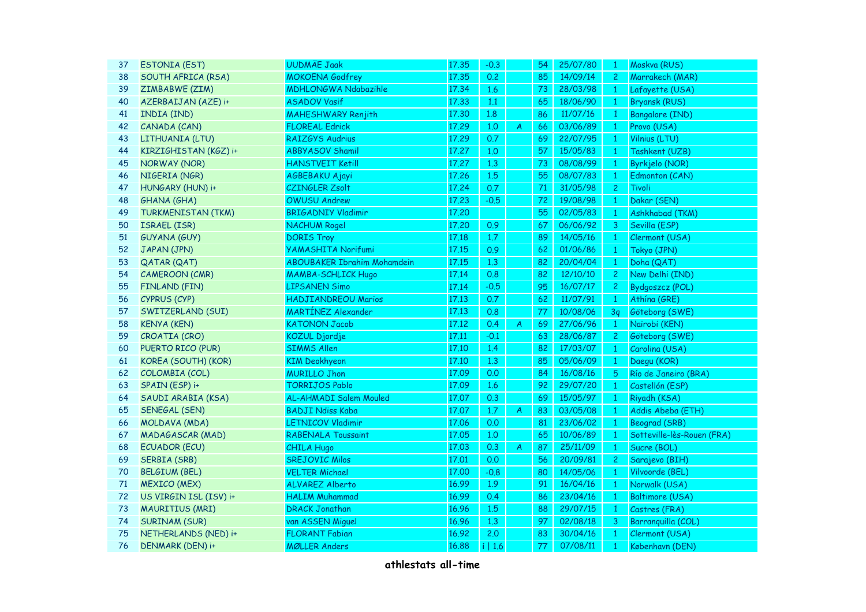| 37 | <b>ESTONIA (EST)</b>      | <b>UUDMÄE Jaak</b>                 | 17.35 | $-0.3$    |                  | 54 | 25/07/80 | $\mathbf{1}$    | Moskva (RUS)               |
|----|---------------------------|------------------------------------|-------|-----------|------------------|----|----------|-----------------|----------------------------|
| 38 | SOUTH AFRICA (RSA)        | <b>MOKOENA Godfrey</b>             | 17.35 | 0.2       |                  | 85 | 14/09/14 | $\overline{c}$  | Marrakech (MAR)            |
| 39 | ZIMBABWE (ZIM)            | <b>MDHLONGWA Ndabazihle</b>        | 17.34 | 1.6       |                  | 73 | 28/03/98 | $\mathbf{1}$    | Lafayette (USA)            |
| 40 | AZERBAIJAN (AZE) i+       | <b>ASADOV Vasif</b>                | 17.33 | 1.1       |                  | 65 | 18/06/90 | $\mathbf{1}$    | <b>Bryansk (RUS)</b>       |
| 41 | INDIA (IND)               | <b>MAHESHWARY Renjith</b>          | 17.30 | 1.8       |                  | 86 | 11/07/16 | $\mathbf{1}$    | <b>Bangalore (IND)</b>     |
| 42 | CANADA (CAN)              | <b>FLOREAL Edrick</b>              | 17.29 | 1.0       | A                | 66 | 03/06/89 | $\mathbf{1}$    | Provo (USA)                |
| 43 | LITHUANIA (LTU)           | <b>RAIZGYS Audrius</b>             | 17.29 | 0.7       |                  | 69 | 22/07/95 | $\mathbf{1}$    | Vilnius (LTU)              |
| 44 | KIRZIGHISTAN (KGZ) i+     | <b>ABBYASOV Shamil</b>             | 17.27 | 1.0       |                  | 57 | 15/05/83 | $\mathbf{1}$    | Tashkent (UZB)             |
| 45 | NORWAY (NOR)              | <b>HANSTVEIT Ketill</b>            | 17.27 | 1,3       |                  | 73 | 08/08/99 | $\mathbf{1}$    | Byrkjelo (NOR)             |
| 46 | NIGERIA (NGR)             | AGBEBAKU Ajayi                     | 17.26 | 1.5       |                  | 55 | 08/07/83 | $\mathbf{1}$    | Edmonton (CAN)             |
| 47 | HUNGARY (HUN) i+          | <b>CZINGLER Zsolt</b>              | 17.24 | 0.7       |                  | 71 | 31/05/98 | $\overline{2}$  | Tivoli                     |
| 48 | <b>GHANA (GHA)</b>        | <b>OWUSU Andrew</b>                | 17.23 | $-0.5$    |                  | 72 | 19/08/98 | $\mathbf{1}$    | Dakar (SEN)                |
| 49 | <b>TURKMENISTAN (TKM)</b> | <b>BRIGADNIY Vladimir</b>          | 17,20 |           |                  | 55 | 02/05/83 | $\mathbf{1}$    | Ashkhabad (TKM)            |
| 50 | ISRAEL (ISR)              | <b>NACHUM Rogel</b>                | 17.20 | 0.9       |                  | 67 | 06/06/92 | 3               | Sevilla (ESP)              |
| 51 | GUYANA (GUY)              | <b>DORIS Troy</b>                  | 17.18 | 1.7       |                  | 89 | 14/05/16 | $\mathbf{1}$    | Clermont (USA)             |
| 52 | JAPAN (JPN)               | YAMASHITA Norifumi                 | 17.15 | 0.9       |                  | 62 | 01/06/86 | $\mathbf{1}$    | Tokyo (JPN)                |
| 53 | <b>QATAR (QAT)</b>        | <b>ABOUBAKER Ibrahim Mohamdein</b> | 17.15 | 1.3       |                  | 82 | 20/04/04 | $\mathbf{1}$    | Doha (QAT)                 |
| 54 | <b>CAMEROON (CMR)</b>     | <b>MAMBA-SCHLICK Hugo</b>          | 17.14 | 0.8       |                  | 82 | 12/10/10 | $\mathbf{2}$    | New Delhi (IND)            |
| 55 | <b>FINLAND (FIN)</b>      | <b>LIPSANEN Simo</b>               | 17.14 | $-0.5$    |                  | 95 | 16/07/17 | $\overline{2}$  | Bydgoszcz (POL)            |
| 56 | CYPRUS (CYP)              | <b>HADJIANDREOU Marios</b>         | 17.13 | 0.7       |                  | 62 | 11/07/91 | $\mathbf{1}$    | Athína (GRE)               |
| 57 | SWITZERLAND (SUI)         | <b>MARTÍNEZ Alexander</b>          | 17.13 | 0.8       |                  | 77 | 10/08/06 | 3q              | Göteborg (SWE)             |
| 58 | <b>KENYA (KEN)</b>        | <b>KATONON Jacob</b>               | 17.12 | 0.4       | A                | 69 | 27/06/96 | $\mathbf{1}$    | Nairobi (KEN)              |
| 59 | CROATIA (CRO)             | KOZUL Djordje                      | 17.11 | $-0.1$    |                  | 63 | 28/06/87 | $\overline{c}$  | Göteborg (SWE)             |
| 60 | PUERTO RICO (PUR)         | <b>SIMMS Allen</b>                 | 17.10 | 1.4       |                  | 82 | 17/03/07 | $\mathbf{1}$    | Carolina (USA)             |
| 61 | KOREA (SOUTH) (KOR)       | <b>KIM Deokhyeon</b>               | 17.10 | 1.3       |                  | 85 | 05/06/09 | $\mathbf{1}$    | Daegu (KOR)                |
| 62 | COLOMBIA (COL)            | <b>MURILLO Jhon</b>                | 17.09 | 0.0       |                  | 84 | 16/08/16 | $5\overline{)}$ | Río de Janeiro (BRA)       |
| 63 | SPAIN (ESP) i+            | <b>TORRIJOS Pablo</b>              | 17.09 | 1.6       |                  | 92 | 29/07/20 | $\mathbf{1}$    | Castellón (ESP)            |
| 64 | SAUDI ARABIA (KSA)        | <b>AL-AHMADI Salem Mouled</b>      | 17.07 | 0.3       |                  | 69 | 15/05/97 | $\mathbf{1}$    | Riyadh (KSA)               |
| 65 | SENEGAL (SEN)             | <b>BADJI Ndiss Kaba</b>            | 17.07 | $1.7\,$   | $\boldsymbol{A}$ | 83 | 03/05/08 | $\mathbf{1}$    | Addis Abeba (ETH)          |
| 66 | MOLDAVA (MDA)             | <b>LETNICOV Vladimir</b>           | 17.06 | 0.0       |                  | 81 | 23/06/02 | $\mathbf{1}$    | Beograd (SRB)              |
| 67 | MADAGASCAR (MAD)          | <b>RABENALA Toussaint</b>          | 17.05 | 1,0       |                  | 65 | 10/06/89 | $\mathbf{1}$    | Sotteville-lès-Rouen (FRA) |
| 68 | <b>ECUADOR (ECU)</b>      | <b>CHILA Hugo</b>                  | 17.03 | 0.3       | $\overline{A}$   | 87 | 25/11/09 | $\mathbf{1}$    | Sucre (BOL)                |
| 69 | <b>SERBIA (SRB)</b>       | <b>SREJOVIC Milos</b>              | 17.01 | 0.0       |                  | 56 | 20/09/81 | $\overline{c}$  | Sarajevo (BIH)             |
| 70 | <b>BELGIUM (BEL)</b>      | <b>VELTER Michael</b>              | 17.00 | $-0.8$    |                  | 80 | 14/05/06 | $\mathbf{1}$    | Vilvoorde (BEL)            |
| 71 | <b>MEXICO (MEX)</b>       | <b>ALVAREZ Alberto</b>             | 16.99 | 1.9       |                  | 91 | 16/04/16 | $\mathbf{1}$    | Norwalk (USA)              |
| 72 | US VIRGIN ISL (ISV) i+    | <b>HALIM Muhammad</b>              | 16.99 | 0.4       |                  | 86 | 23/04/16 | $\mathbf{1}$    | <b>Baltimore (USA)</b>     |
| 73 | <b>MAURITIUS (MRI)</b>    | <b>DRACK Jonathan</b>              | 16.96 | 1.5       |                  | 88 | 29/07/15 | $\mathbf{1}$    | Castres (FRA)              |
| 74 | <b>SURINAM (SUR)</b>      | van ASSEN Miguel                   | 16.96 | 1.3       |                  | 97 | 02/08/18 | 3               | Barranquilla (COL)         |
| 75 | NETHERLANDS (NED) i+      | <b>FLORANT Fabian</b>              | 16.92 | 2.0       |                  | 83 | 30/04/16 | $\mathbf{1}$    | Clermont (USA)             |
| 76 | <b>DENMARK (DEN) i+</b>   | <b>MØLLER Anders</b>               | 16.88 | $i$   1.6 |                  | 77 | 07/08/11 | $\mathbf{1}$    | København (DEN)            |
|    |                           |                                    |       |           |                  |    |          |                 |                            |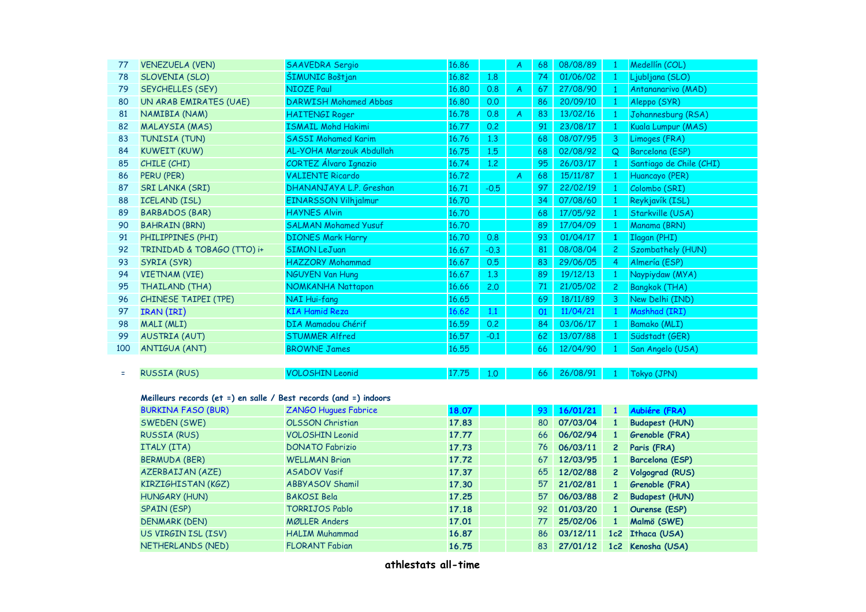| 77  | <b>VENEZUELA (VEN)</b>     | <b>SAAVEDRA Sergio</b>       | 16,86 |        | A | 68 | 08/08/89 |   | Medellín (COL)          |
|-----|----------------------------|------------------------------|-------|--------|---|----|----------|---|-------------------------|
| 78  | SLOVENIA (SLO)             | ŠIMUNIC Boštjan              | 16,82 | 1.8    |   | 74 | 01/06/02 |   | Ljubljana (SLO)         |
| 79  | SEYCHELLES (SEY)           | <b>NIOZE Paul</b>            | 16,80 | 0.8    | A | 67 | 27/08/90 |   | Antananarivo (MAD)      |
| 80  | UN ARAB EMIRATES (UAE)     | <b>DARWISH Mohamed Abbas</b> | 16.80 | 0.0    |   | 86 | 20/09/10 |   | Aleppo (SYR)            |
| 81  | NAMIBIA (NAM)              | <b>HAITENGI Roger</b>        | 16.78 | 0.8    | A | 83 | 13/02/16 |   | Johannesburg (RSA)      |
| 82  | MALAYSIA (MAS)             | <b>ISMAIL Mohd Hakimi</b>    | 16.77 | 0.2    |   | 91 | 23/08/17 |   | Kuala Lumpur (MAS)      |
| 83  | TUNISIA (TUN)              | <b>SASSI Mohamed Karim</b>   | 16.76 | 1,3    |   | 68 | 08/07/95 | 3 | Limoges (FRA)           |
| 84  | KUWEIT (KUW)               | AL-YOHA Marzouk Abdullah     | 16.75 | 1.5    |   | 68 | 02/08/92 | Q | Barcelona (ESP)         |
| 85  | CHILE (CHI)                | <b>CORTEZ Álvaro Ignazio</b> | 16.74 | 1,2    |   | 95 | 26/03/17 |   | Santiago de Chile (CHI) |
| 86  | PERU (PER)                 | <b>VALIENTE Ricardo</b>      | 16.72 |        | A | 68 | 15/11/87 |   | Huancayo (PER)          |
| 87  | SRI LANKA (SRI)            | DHANANJAYA L.P. Greshan      | 16.71 | $-0.5$ |   | 97 | 22/02/19 |   | Colombo (SRI)           |
| 88  | ICELAND (ISL)              | <b>EINARSSON Vilhjalmur</b>  | 16.70 |        |   | 34 | 07/08/60 |   | Reykjavík (ISL)         |
| 89  | <b>BARBADOS (BAR)</b>      | <b>HAYNES Alvin</b>          | 16.70 |        |   | 68 | 17/05/92 |   | Starkville (USA)        |
| 90  | <b>BAHRAIN (BRN)</b>       | <b>SALMAN Mohamed Yusuf</b>  | 16.70 |        |   | 89 | 17/04/09 |   | Manama (BRN)            |
| 91  | PHILIPPINES (PHI)          | <b>DIONES Mark Harry</b>     | 16.70 | 0.8    |   | 93 | 01/04/17 |   | <b>Ilagan (PHI)</b>     |
| 92  | TRINIDAD & TOBAGO (TTO) i+ | <b>SIMON LeJuan</b>          | 16.67 | $-0.3$ |   | 81 | 08/08/04 | 2 | Szombathely (HUN)       |
| 93  | SYRIA (SYR)                | <b>HAZZORY Mohammad</b>      | 16.67 | 0.5    |   | 83 | 29/06/05 | 4 | Almería (ESP)           |
| 94  | <b>VIETNAM (VIE)</b>       | <b>NGUYEN Van Hung</b>       | 16.67 | 1.3    |   | 89 | 19/12/13 |   | Naypiydaw (MYA)         |
| 95  | THAILAND (THA)             | NOMKANHA Nattapon            | 16.66 | 2.0    |   | 71 | 21/05/02 | 2 | <b>Bangkok (THA)</b>    |
| 96  | CHINESE TAIPEI (TPE)       | <b>NAI Hui-fang</b>          | 16.65 |        |   | 69 | 18/11/89 | 3 | New Delhi (IND)         |
| 97  | IRAN (IRI)                 | <b>KIA Hamid Reza</b>        | 16.62 | 1.1    |   | 01 | 11/04/21 |   | Mashhad (IRI)           |
| 98  | MALI (MLI)                 | DIA Mamadou Chérif           | 16.59 | 0.2    |   | 84 | 03/06/17 |   | Bamako (MLI)            |
| 99  | <b>AUSTRIA (AUT)</b>       | <b>STUMMER Alfred</b>        | 16.57 | $-0.1$ |   | 62 | 13/07/88 |   | Südstadt (GER)          |
| 100 | <b>ANTIGUA (ANT)</b>       | <b>BROWNE James</b>          | 16.55 |        |   | 66 | 12/04/90 |   | San Angelo (USA)        |
|     |                            |                              |       |        |   |    |          |   |                         |

= RUSSIA (RUS) VOLOSHIN Leonid 17.75 1.0 66 26/08/91 1 Tokyo (JPN)

## **Meilleurs records (et =) en salle / Best records (and =) indoors**

| <b>BURKINA FASO (BUR)</b> | <b>ZANGO Hugues Fabrice</b> | 18.07 | 93 | 16/01/21 |                | Aubiére (FRA)          |
|---------------------------|-----------------------------|-------|----|----------|----------------|------------------------|
| SWEDEN (SWE)              | <b>OLSSON Christian</b>     | 17.83 | 80 | 07/03/04 |                | <b>Budapest (HUN)</b>  |
| RUSSIA (RUS)              | <b>VOLOSHIN Leonid</b>      | 17.77 | 66 | 06/02/94 |                | Grenoble (FRA)         |
| ITALY (ITA)               | <b>DONATO Fabrizio</b>      | 17.73 | 76 | 06/03/11 | $\mathbf{2}$   | Paris (FRA)            |
| BERMUDA (BER)             | <b>WELLMAN Brian</b>        | 17.72 | 67 | 12/03/95 |                | <b>Barcelona (ESP)</b> |
| AZERBAIJAN (AZE)          | <b>ASADOV Vasif</b>         | 17.37 | 65 | 12/02/88 | 2 <sup>1</sup> | Volgograd (RUS)        |
| <b>KIRZIGHISTAN (KGZ)</b> | <b>ABBYASOV Shamil</b>      | 17.30 | 57 | 21/02/81 |                | Grenoble (FRA)         |
| HUNGARY (HUN)             | <b>BAKOSI Bela</b>          | 17.25 | 57 | 06/03/88 | 2 <sup>1</sup> | <b>Budapest (HUN)</b>  |
| SPAIN (ESP)               | <b>TORRIJOS Pablo</b>       | 17.18 | 92 | 01/03/20 |                | Ourense (ESP)          |
| DENMARK (DEN)             | <b>MØLLER Anders</b>        | 17.01 | 77 | 25/02/06 |                | Malmö (SWE)            |
| US VIRGIN ISL (ISV)       | <b>HALIM Muhammad</b>       | 16.87 | 86 | 03/12/11 |                | 1c2 Ithaca (USA)       |
| NETHERLANDS (NED)         | <b>FLORANT Fabian</b>       | 16.75 | 83 | 27/01/12 |                | 1c2 Kenosha (USA)      |